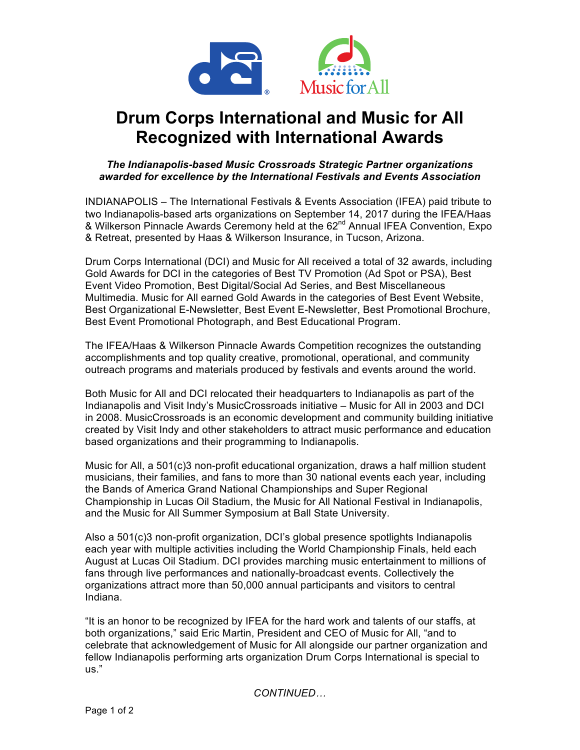

# **Drum Corps International and Music for All Recognized with International Awards**

## *The Indianapolis-based Music Crossroads Strategic Partner organizations awarded for excellence by the International Festivals and Events Association*

INDIANAPOLIS – The International Festivals & Events Association (IFEA) paid tribute to two Indianapolis-based arts organizations on September 14, 2017 during the IFEA/Haas & Wilkerson Pinnacle Awards Ceremony held at the 62<sup>nd</sup> Annual IFEA Convention, Expo & Retreat, presented by Haas & Wilkerson Insurance, in Tucson, Arizona.

Drum Corps International (DCI) and Music for All received a total of 32 awards, including Gold Awards for DCI in the categories of Best TV Promotion (Ad Spot or PSA), Best Event Video Promotion, Best Digital/Social Ad Series, and Best Miscellaneous Multimedia. Music for All earned Gold Awards in the categories of Best Event Website, Best Organizational E-Newsletter, Best Event E-Newsletter, Best Promotional Brochure, Best Event Promotional Photograph, and Best Educational Program.

The IFEA/Haas & Wilkerson Pinnacle Awards Competition recognizes the outstanding accomplishments and top quality creative, promotional, operational, and community outreach programs and materials produced by festivals and events around the world.

Both Music for All and DCI relocated their headquarters to Indianapolis as part of the Indianapolis and Visit Indy's MusicCrossroads initiative – Music for All in 2003 and DCI in 2008. MusicCrossroads is an economic development and community building initiative created by Visit Indy and other stakeholders to attract music performance and education based organizations and their programming to Indianapolis.

Music for All, a 501(c)3 non-profit educational organization, draws a half million student musicians, their families, and fans to more than 30 national events each year, including the Bands of America Grand National Championships and Super Regional Championship in Lucas Oil Stadium, the Music for All National Festival in Indianapolis, and the Music for All Summer Symposium at Ball State University.

Also a 501(c)3 non-profit organization, DCI's global presence spotlights Indianapolis each year with multiple activities including the World Championship Finals, held each August at Lucas Oil Stadium. DCI provides marching music entertainment to millions of fans through live performances and nationally-broadcast events. Collectively the organizations attract more than 50,000 annual participants and visitors to central Indiana.

"It is an honor to be recognized by IFEA for the hard work and talents of our staffs, at both organizations," said Eric Martin, President and CEO of Music for All, "and to celebrate that acknowledgement of Music for All alongside our partner organization and fellow Indianapolis performing arts organization Drum Corps International is special to us."

*CONTINUED…*